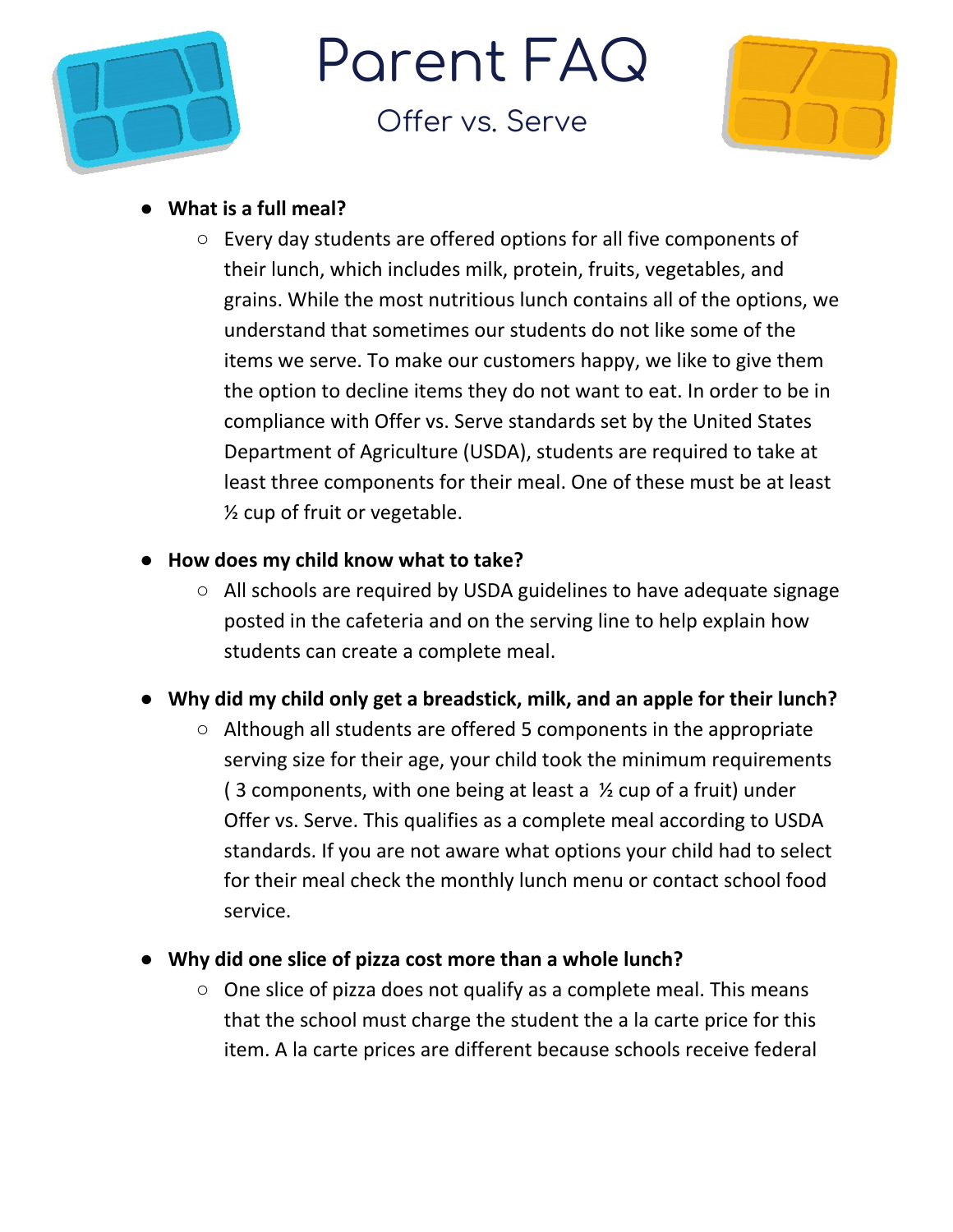

Parent FAQ

Offer vs. Serve



## **● What is a full meal?**

- Every day students are offered options for all five components of their lunch, which includes milk, protein, fruits, vegetables, and grains. While the most nutritious lunch contains all of the options, we understand that sometimes our students do not like some of the items we serve. To make our customers happy, we like to give them the option to decline items they do not want to eat. In order to be in compliance with Offer vs. Serve standards set by the United States Department of Agriculture (USDA), students are required to take at least three components for their meal. One of these must be at least ½ cup of fruit or vegetable.
- **● How does my child know what to take?**
	- All schools are required by USDA guidelines to have adequate signage posted in the cafeteria and on the serving line to help explain how students can create a complete meal.
- **● Why did my child only get a breadstick, milk, and an apple for their lunch?**
	- Although all students are offered 5 components in the appropriate serving size for their age, your child took the minimum requirements (3 components, with one being at least a  $\frac{1}{2}$  cup of a fruit) under Offer vs. Serve. This qualifies as a complete meal according to USDA standards. If you are not aware what options your child had to select for their meal check the monthly lunch menu or contact school food service.
- **● Why did one slice of pizza cost more than a whole lunch?**
	- $\circ$  One slice of pizza does not qualify as a complete meal. This means that the school must charge the student the a la carte price for this item. A la carte prices are different because schools receive federal